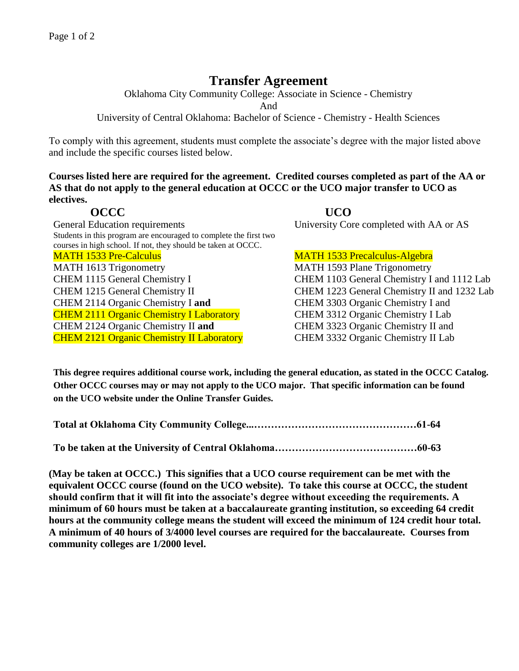## **Transfer Agreement**

Oklahoma City Community College: Associate in Science - Chemistry

And

University of Central Oklahoma: Bachelor of Science - Chemistry - Health Sciences

To comply with this agreement, students must complete the associate's degree with the major listed above and include the specific courses listed below.

**Courses listed here are required for the agreement. Credited courses completed as part of the AA or AS that do not apply to the general education at OCCC or the UCO major transfer to UCO as electives.**

General Education requirements University Core completed with AA or AS Students in this program are encouraged to complete the first two courses in high school. If not, they should be taken at OCCC. MATH 1533 Pre-Calculus MATH 1533 Precalculus-Algebra MATH 1613 Trigonometry MATH 1593 Plane Trigonometry CHEM 1115 General Chemistry I CHEM 1103 General Chemistry I and 1112 Lab CHEM 1215 General Chemistry II CHEM 1223 General Chemistry II and 1232 Lab CHEM 2114 Organic Chemistry I **and** CHEM 3303 Organic Chemistry I and CHEM 2111 Organic Chemistry I Laboratory CHEM 3312 Organic Chemistry I Lab CHEM 2124 Organic Chemistry II **and** CHEM 3323 Organic Chemistry II and CHEM 2121 Organic Chemistry II Laboratory CHEM 3332 Organic Chemistry II Lab

**OCCC UCO** 

**This degree requires additional course work, including the general education, as stated in the OCCC Catalog. Other OCCC courses may or may not apply to the UCO major. That specific information can be found on the UCO website under the Online Transfer Guides.** 

**To be taken at the University of Central Oklahoma……………………………………60-63**

**(May be taken at OCCC.) This signifies that a UCO course requirement can be met with the equivalent OCCC course (found on the UCO website). To take this course at OCCC, the student should confirm that it will fit into the associate's degree without exceeding the requirements. A minimum of 60 hours must be taken at a baccalaureate granting institution, so exceeding 64 credit hours at the community college means the student will exceed the minimum of 124 credit hour total. A minimum of 40 hours of 3/4000 level courses are required for the baccalaureate. Courses from community colleges are 1/2000 level.**